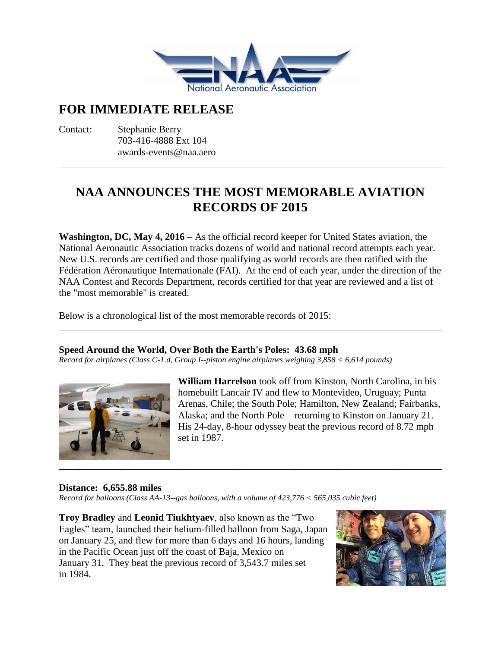

# **FOR IMMEDIATE RELEASE**

Contact: Stephanie Berry 703-416-4888 Ext 104 awards-events@naa.aero

# **NAA ANNOUNCES THE MOST MEMORABLE AVIATION RECORDS OF 2015**

**Washington, DC, May 4, 2016** – As the official record keeper for United States aviation, the National Aeronautic Association tracks dozens of world and national record attempts each year. New U.S. records are certified and those qualifying as world records are then ratified with the Fédération Aéronautique Internationale (FAI). At the end of each year, under the direction of the NAA Contest and Records Department, records certified for that year are reviewed and a list of the "most memorable" is created.

\_\_\_\_\_\_\_\_\_\_\_\_\_\_\_\_\_\_\_\_\_\_\_\_\_\_\_\_\_\_\_\_\_\_\_\_\_\_\_\_\_\_\_\_\_\_\_\_\_\_\_\_\_\_\_\_\_\_\_\_\_\_\_\_\_\_\_\_\_\_\_\_\_\_\_\_\_\_

Below is a chronological list of the most memorable records of 2015:

# **Speed Around the World, Over Both the Earth's Poles: 43.68 mph**

*Record for airplanes (Class C-1.d, Group I--piston engine airplanes weighing 3,858 < 6,614 pounds)*



**William Harrelson** took off from Kinston, North Carolina, in his homebuilt Lancair IV and flew to Montevideo, Uruguay; Punta Arenas, Chile; the South Pole; Hamilton, New Zealand; Fairbanks, Alaska; and the North Pole—returning to Kinston on January 21. His 24-day, 8-hour odyssey beat the previous record of 8.72 mph set in 1987.

# **Distance: 6,655.88 miles**

*Record for balloons (Class AA-13--gas balloons, with a volume of 423,776 < 565,035 cubic feet)*

**Troy Bradley** and **Leonid Tiukhtyaev**, also known as the "Two Eagles" team, launched their helium-filled balloon from Saga, Japan on January 25, and flew for more than 6 days and 16 hours, landing in the Pacific Ocean just off the coast of Baja, Mexico on January 31. They beat the previous record of 3,543.7 miles set in 1984.

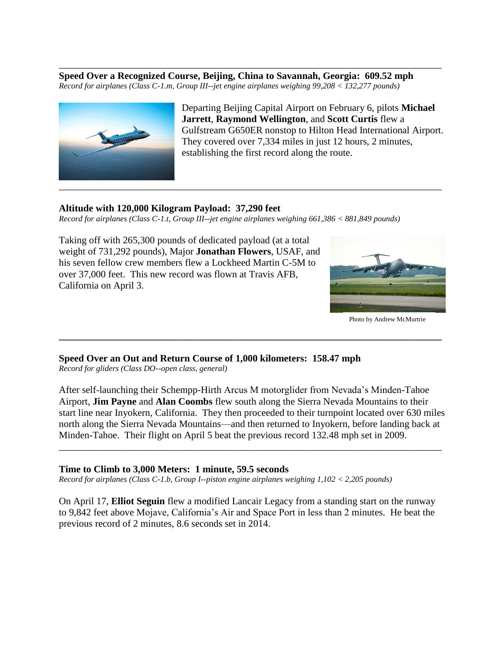**Speed Over a Recognized Course, Beijing, China to Savannah, Georgia: 609.52 mph** *Record for airplanes (Class C-1.m, Group III--jet engine airplanes weighing 99,208 < 132,277 pounds)*

\_\_\_\_\_\_\_\_\_\_\_\_\_\_\_\_\_\_\_\_\_\_\_\_\_\_\_\_\_\_\_\_\_\_\_\_\_\_\_\_\_\_\_\_\_\_\_\_\_\_\_\_\_\_\_\_\_\_\_\_\_\_\_\_\_\_\_\_\_\_\_\_\_\_\_\_\_\_



Departing Beijing Capital Airport on February 6, pilots **Michael Jarrett**, **Raymond Wellington**, and **Scott Curtis** flew a Gulfstream G650ER nonstop to Hilton Head International Airport. They covered over 7,334 miles in just 12 hours, 2 minutes, establishing the first record along the route.

## **Altitude with 120,000 Kilogram Payload: 37,290 feet**

*Record for airplanes (Class C-1.t, Group III--jet engine airplanes weighing 661,386 < 881,849 pounds)*

Taking off with 265,300 pounds of dedicated payload (at a total weight of 731,292 pounds), Major **Jonathan Flowers**, USAF, and his seven fellow crew members flew a Lockheed Martin C-5M to over 37,000 feet. This new record was flown at Travis AFB, California on April 3.



Photo by Andrew McMurtrie

**Speed Over an Out and Return Course of 1,000 kilometers: 158.47 mph**

*Record for gliders (Class DO--open class, general)*

After self-launching their Schempp-Hirth Arcus M motorglider from Nevada's Minden-Tahoe Airport, **Jim Payne** and **Alan Coombs** flew south along the Sierra Nevada Mountains to their start line near Inyokern, California. They then proceeded to their turnpoint located over 630 miles north along the Sierra Nevada Mountains—and then returned to Inyokern, before landing back at Minden-Tahoe. Their flight on April 5 beat the previous record 132.48 mph set in 2009.

\_\_\_\_\_\_\_\_\_\_\_\_\_\_\_\_\_\_\_\_\_\_\_\_\_\_\_\_\_\_\_\_\_\_\_\_\_\_\_\_\_\_\_\_\_\_\_\_\_\_\_\_\_\_\_\_\_\_\_\_\_\_\_\_\_\_\_\_\_\_\_\_\_\_\_\_\_\_

**\_\_\_\_\_\_\_\_\_\_\_\_\_\_\_\_\_\_\_\_\_\_\_\_\_\_\_\_\_\_\_\_\_\_\_\_\_\_\_\_\_\_\_\_\_\_\_\_\_\_\_\_\_\_\_\_\_\_\_\_\_\_\_\_\_\_\_\_\_\_\_\_\_\_\_\_\_\_**

### **Time to Climb to 3,000 Meters: 1 minute, 59.5 seconds**

*Record for airplanes (Class C-1.b, Group I--piston engine airplanes weighing 1,102 < 2,205 pounds)*

On April 17, **Elliot Seguin** flew a modified Lancair Legacy from a standing start on the runway to 9,842 feet above Mojave, California's Air and Space Port in less than 2 minutes. He beat the previous record of 2 minutes, 8.6 seconds set in 2014.